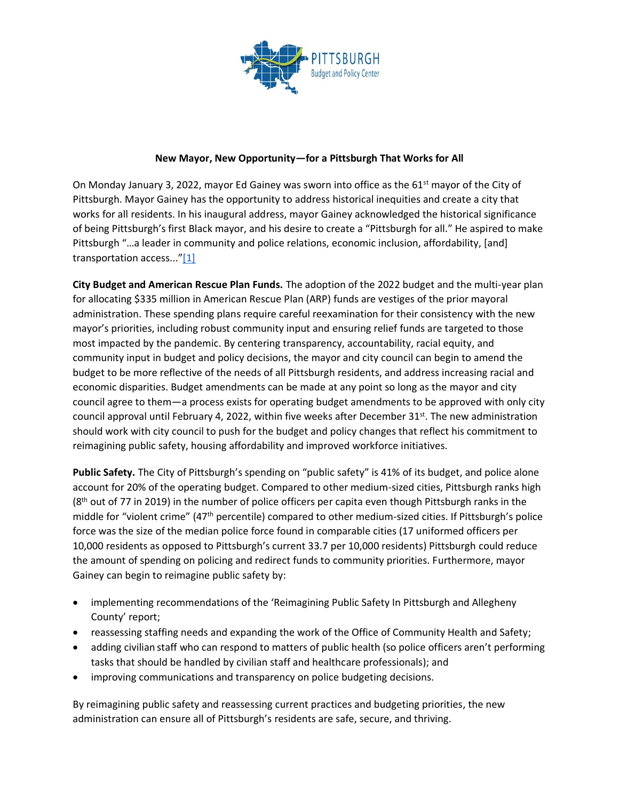

## **New Mayor, New Opportunity—for a Pittsburgh That Works for All**

On Monday January 3, 2022, mayor Ed Gainey was sworn into office as the 61<sup>st</sup> mayor of the City of Pittsburgh. Mayor Gainey has the opportunity to address historical inequities and create a city that works for all residents. In his inaugural address, mayor Gainey acknowledged the historical significance of being Pittsburgh's first Black mayor, and his desire to create a "Pittsburgh for all." He aspired to make Pittsburgh "…a leader in community and police relations, economic inclusion, affordability, [and] transportation access..."[\[1\]](https://keystoneresearchcenter-my.sharepoint.com/personal/thandiwe_pennbpc_org/Documents/2022%20PGH%20Annual%20Budget%20Analysis/2022%20Budget%20Analysis/2022%20Approved%20Budget%20Response.docx#_ftn1)

**City Budget and American Rescue Plan Funds.** The adoption of the 2022 budget and the multi-year plan for allocating \$335 million in American Rescue Plan (ARP) funds are vestiges of the prior mayoral administration. These spending plans require careful reexamination for their consistency with the new mayor's priorities, including robust community input and ensuring relief funds are targeted to those most impacted by the pandemic. By centering transparency, accountability, racial equity, and community input in budget and policy decisions, the mayor and city council can begin to amend the budget to be more reflective of the needs of all Pittsburgh residents, and address increasing racial and economic disparities. Budget amendments can be made at any point so long as the mayor and city council agree to them—a process exists for operating budget amendments to be approved with only city council approval until February 4, 2022, within five weeks after December  $31^{st}$ . The new administration should work with city council to push for the budget and policy changes that reflect his commitment to reimagining public safety, housing affordability and improved workforce initiatives.

**Public Safety.** The City of Pittsburgh's spending on "public safety" is 41% of its budget, and police alone account for 20% of the operating budget. Compared to other medium-sized cities, Pittsburgh ranks high (8<sup>th</sup> out of 77 in 2019) in the number of police officers per capita even though Pittsburgh ranks in the middle for "violent crime" (47th percentile) compared to other medium-sized cities. If Pittsburgh's police force was the size of the median police force found in comparable cities (17 uniformed officers per 10,000 residents as opposed to Pittsburgh's current 33.7 per 10,000 residents) Pittsburgh could reduce the amount of spending on policing and redirect funds to community priorities. Furthermore, mayor Gainey can begin to reimagine public safety by:

- implementing recommendations of the 'Reimagining Public Safety In Pittsburgh and Allegheny County' report;
- reassessing staffing needs and expanding the work of the Office of Community Health and Safety;
- adding civilian staff who can respond to matters of public health (so police officers aren't performing tasks that should be handled by civilian staff and healthcare professionals); and
- improving communications and transparency on police budgeting decisions.

By reimagining public safety and reassessing current practices and budgeting priorities, the new administration can ensure all of Pittsburgh's residents are safe, secure, and thriving.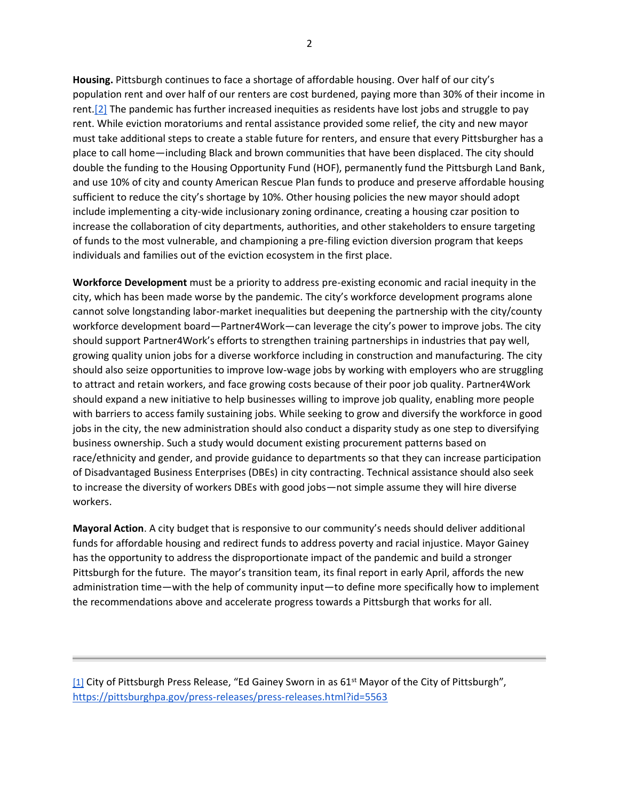**Housing.** Pittsburgh continues to face a shortage of affordable housing. Over half of our city's population rent and over half of our renters are cost burdened, paying more than 30% of their income in rent[.\[2\]](https://keystoneresearchcenter-my.sharepoint.com/personal/thandiwe_pennbpc_org/Documents/2022%20PGH%20Annual%20Budget%20Analysis/2022%20Budget%20Analysis/2022%20Approved%20Budget%20Response.docx#_ftn2) The pandemic has further increased inequities as residents have lost jobs and struggle to pay rent. While eviction moratoriums and rental assistance provided some relief, the city and new mayor must take additional steps to create a stable future for renters, and ensure that every Pittsburgher has a place to call home—including Black and brown communities that have been displaced. The city should double the funding to the Housing Opportunity Fund (HOF), permanently fund the Pittsburgh Land Bank, and use 10% of city and county American Rescue Plan funds to produce and preserve affordable housing sufficient to reduce the city's shortage by 10%. Other housing policies the new mayor should adopt include implementing a city-wide inclusionary zoning ordinance, creating a housing czar position to increase the collaboration of city departments, authorities, and other stakeholders to ensure targeting of funds to the most vulnerable, and championing a pre-filing eviction diversion program that keeps individuals and families out of the eviction ecosystem in the first place.

**Workforce Development** must be a priority to address pre-existing economic and racial inequity in the city, which has been made worse by the pandemic. The city's workforce development programs alone cannot solve longstanding labor-market inequalities but deepening the partnership with the city/county workforce development board—Partner4Work—can leverage the city's power to improve jobs. The city should support Partner4Work's efforts to strengthen training partnerships in industries that pay well, growing quality union jobs for a diverse workforce including in construction and manufacturing. The city should also seize opportunities to improve low-wage jobs by working with employers who are struggling to attract and retain workers, and face growing costs because of their poor job quality. Partner4Work should expand a new initiative to help businesses willing to improve job quality, enabling more people with barriers to access family sustaining jobs. While seeking to grow and diversify the workforce in good jobs in the city, the new administration should also conduct a disparity study as one step to diversifying business ownership. Such a study would document existing procurement patterns based on race/ethnicity and gender, and provide guidance to departments so that they can increase participation of Disadvantaged Business Enterprises (DBEs) in city contracting. Technical assistance should also seek to increase the diversity of workers DBEs with good jobs—not simple assume they will hire diverse workers.

**Mayoral Action**. A city budget that is responsive to our community's needs should deliver additional funds for affordable housing and redirect funds to address poverty and racial injustice. Mayor Gainey has the opportunity to address the disproportionate impact of the pandemic and build a stronger Pittsburgh for the future. The mayor's transition team, its final report in early April, affords the new administration time—with the help of community input—to define more specifically how to implement the recommendations above and accelerate progress towards a Pittsburgh that works for all.

[\[1\]](https://keystoneresearchcenter-my.sharepoint.com/personal/thandiwe_pennbpc_org/Documents/2022%20PGH%20Annual%20Budget%20Analysis/2022%20Budget%20Analysis/2022%20Approved%20Budget%20Response.docx#_ftnref1) City of Pittsburgh Press Release[,](https://pittsburghpa.gov/press-releases/press-releases.html?id=5563) "Ed Gainey Sworn in as 61<sup>st</sup> Mayor of the City of Pittsburgh", <https://pittsburghpa.gov/press-releases/press-releases.html?id=5563>